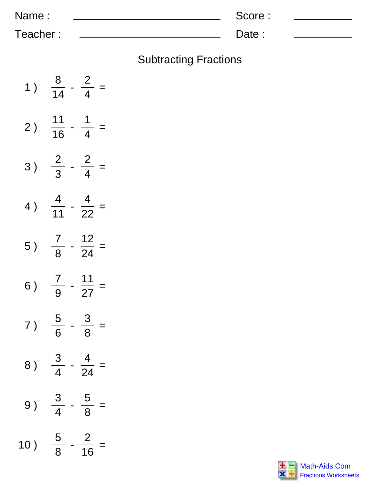| Name:    | Score: |  |
|----------|--------|--|
| Teacher: | Date:  |  |

| <b>Subtracting Fractions</b> |  |
|------------------------------|--|
|------------------------------|--|

| 1)  | $\frac{8}{14}$  | $\frac{2}{4}$     |
|-----|-----------------|-------------------|
| 2)  | $\frac{11}{16}$ | $\frac{1}{4}$     |
| 3)  | $\frac{2}{3}$   | $\frac{2}{4}$ =   |
| 4)  | $\frac{4}{11}$  | $\frac{4}{22}$ =  |
| 5)  | $rac{7}{8}$ -   | $\frac{12}{24}$ = |
| 6)  | $\frac{7}{9}$   | $\frac{11}{27}$ = |
| 7)  | $\frac{5}{6}$   | $\frac{3}{8}$     |
| 8)  | $\frac{3}{4}$   | $\frac{4}{24}$    |
| 9)  | $\frac{3}{4}$   | $\frac{5}{8}$     |
| 10) | $\frac{5}{8}$   | $\frac{2}{16}$    |